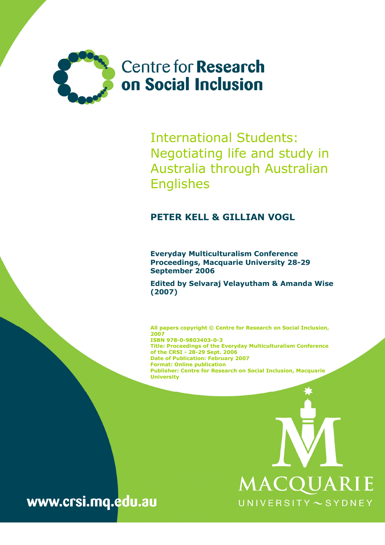

International Students: Negotiating life and study in Australia through Australian Englishes

## PETER KELL & GILLIAN VOGL

Everyday Multiculturalism Conference Proceedings, Macquarie University 28-29 September 2006

Edited by Selvaraj Velayutham & Amanda Wise (2007)

All papers copyright © Centre for Research on Social Inclusion, 2007 ISBN 978-0-9803403-0-3 Title: Proceedings of the Everyday Multiculturalism Conference of the CRSI - 28-29 Sept. 2006 Date of Publication: February 2007 Format: Online publication Publisher: Centre for Research on Social Inclusion, Macquarie **University** 



www.crsi.mq.edu.au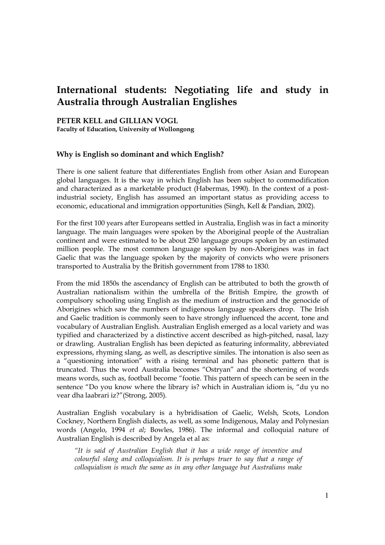# International students: Negotiating life and study in Australia through Australian Englishes

PETER KELL and GILLIAN VOGL

Faculty of Education, University of Wollongong

## Why is English so dominant and which English?

There is one salient feature that differentiates English from other Asian and European global languages. It is the way in which English has been subject to commodification and characterized as a marketable product (Habermas, 1990). In the context of a postindustrial society, English has assumed an important status as providing access to economic, educational and immigration opportunities (Singh, Kell & Pandian, 2002).

For the first 100 years after Europeans settled in Australia, English was in fact a minority language. The main languages were spoken by the Aboriginal people of the Australian continent and were estimated to be about 250 language groups spoken by an estimated million people. The most common language spoken by non-Aborigines was in fact Gaelic that was the language spoken by the majority of convicts who were prisoners transported to Australia by the British government from 1788 to 1830.

From the mid 1850s the ascendancy of English can be attributed to both the growth of Australian nationalism within the umbrella of the British Empire, the growth of compulsory schooling using English as the medium of instruction and the genocide of Aborigines which saw the numbers of indigenous language speakers drop. The Irish and Gaelic tradition is commonly seen to have strongly influenced the accent, tone and vocabulary of Australian English. Australian English emerged as a local variety and was typified and characterized by a distinctive accent described as high-pitched, nasal, lazy or drawling. Australian English has been depicted as featuring informality, abbreviated expressions, rhyming slang, as well, as descriptive similes. The intonation is also seen as a "questioning intonation" with a rising terminal and has phonetic pattern that is truncated. Thus the word Australia becomes "Ostryan" and the shortening of words means words, such as, football become "footie. This pattern of speech can be seen in the sentence "Do you know where the library is? which in Australian idiom is, "du yu no vear dha laabrari iz?"(Strong, 2005).

Australian English vocabulary is a hybridisation of Gaelic, Welsh, Scots, London Cockney, Northern English dialects, as well, as some Indigenous, Malay and Polynesian words (Angelo, 1994 et al; Bowles, 1986). The informal and colloquial nature of Australian English is described by Angela et al as:

"It is said of Australian English that it has a wide range of inventive and colourful slang and colloquialism. It is perhaps truer to say that a range of colloquialism is much the same as in any other language but Australians make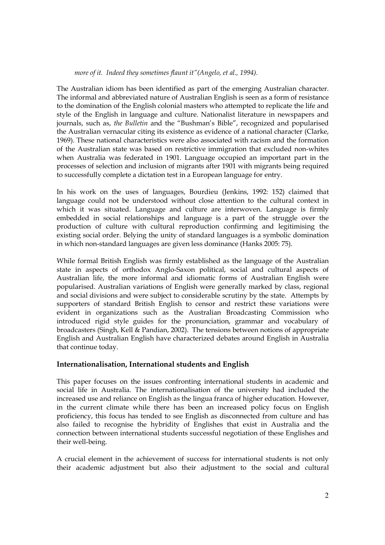#### more of it. Indeed they sometimes flaunt it"(Angelo, et al., 1994).

The Australian idiom has been identified as part of the emerging Australian character. The informal and abbreviated nature of Australian English is seen as a form of resistance to the domination of the English colonial masters who attempted to replicate the life and style of the English in language and culture. Nationalist literature in newspapers and journals, such as, the Bulletin and the "Bushman's Bible", recognized and popularised the Australian vernacular citing its existence as evidence of a national character (Clarke, 1969). These national characteristics were also associated with racism and the formation of the Australian state was based on restrictive immigration that excluded non-whites when Australia was federated in 1901. Language occupied an important part in the processes of selection and inclusion of migrants after 1901 with migrants being required to successfully complete a dictation test in a European language for entry.

In his work on the uses of languages, Bourdieu (Jenkins, 1992: 152) claimed that language could not be understood without close attention to the cultural context in which it was situated. Language and culture are interwoven. Language is firmly embedded in social relationships and language is a part of the struggle over the production of culture with cultural reproduction confirming and legitimising the existing social order. Belying the unity of standard languages is a symbolic domination in which non-standard languages are given less dominance (Hanks 2005: 75).

While formal British English was firmly established as the language of the Australian state in aspects of orthodox Anglo-Saxon political, social and cultural aspects of Australian life, the more informal and idiomatic forms of Australian English were popularised. Australian variations of English were generally marked by class, regional and social divisions and were subject to considerable scrutiny by the state. Attempts by supporters of standard British English to censor and restrict these variations were evident in organizations such as the Australian Broadcasting Commission who introduced rigid style guides for the pronunciation, grammar and vocabulary of broadcasters (Singh, Kell & Pandian, 2002). The tensions between notions of appropriate English and Australian English have characterized debates around English in Australia that continue today.

#### Internationalisation, International students and English

This paper focuses on the issues confronting international students in academic and social life in Australia. The internationalisation of the university had included the increased use and reliance on English as the lingua franca of higher education. However, in the current climate while there has been an increased policy focus on English proficiency, this focus has tended to see English as disconnected from culture and has also failed to recognise the hybridity of Englishes that exist in Australia and the connection between international students successful negotiation of these Englishes and their well-being.

A crucial element in the achievement of success for international students is not only their academic adjustment but also their adjustment to the social and cultural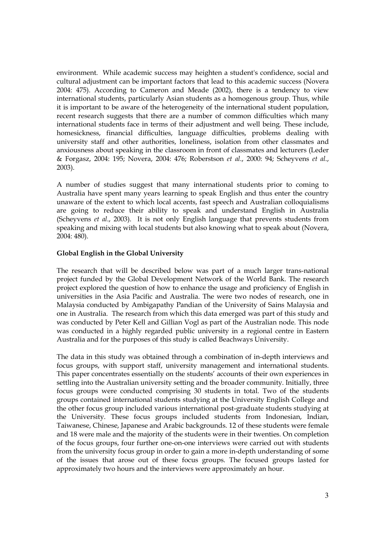environment. While academic success may heighten a student's confidence, social and cultural adjustment can be important factors that lead to this academic success (Novera 2004: 475). According to Cameron and Meade (2002), there is a tendency to view international students, particularly Asian students as a homogenous group. Thus, while it is important to be aware of the heterogeneity of the international student population, recent research suggests that there are a number of common difficulties which many international students face in terms of their adjustment and well being. These include, homesickness, financial difficulties, language difficulties, problems dealing with university staff and other authorities, loneliness, isolation from other classmates and anxiousness about speaking in the classroom in front of classmates and lecturers (Leder & Forgasz, 2004: 195; Novera, 2004: 476; Roberstson et al., 2000: 94; Scheyvens et al., 2003).

A number of studies suggest that many international students prior to coming to Australia have spent many years learning to speak English and thus enter the country unaware of the extent to which local accents, fast speech and Australian colloquialisms are going to reduce their ability to speak and understand English in Australia (Scheyvens et al., 2003). It is not only English language that prevents students from speaking and mixing with local students but also knowing what to speak about (Novera, 2004: 480).

#### Global English in the Global University

The research that will be described below was part of a much larger trans-national project funded by the Global Development Network of the World Bank. The research project explored the question of how to enhance the usage and proficiency of English in universities in the Asia Pacific and Australia. The were two nodes of research, one in Malaysia conducted by Ambigapathy Pandian of the University of Sains Malaysia and one in Australia. The research from which this data emerged was part of this study and was conducted by Peter Kell and Gillian Vogl as part of the Australian node. This node was conducted in a highly regarded public university in a regional centre in Eastern Australia and for the purposes of this study is called Beachways University.

The data in this study was obtained through a combination of in-depth interviews and focus groups, with support staff, university management and international students. This paper concentrates essentially on the students' accounts of their own experiences in settling into the Australian university setting and the broader community. Initially, three focus groups were conducted comprising 30 students in total. Two of the students groups contained international students studying at the University English College and the other focus group included various international post-graduate students studying at the University. These focus groups included students from Indonesian, Indian, Taiwanese, Chinese, Japanese and Arabic backgrounds. 12 of these students were female and 18 were male and the majority of the students were in their twenties. On completion of the focus groups, four further one-on-one interviews were carried out with students from the university focus group in order to gain a more in-depth understanding of some of the issues that arose out of these focus groups. The focused groups lasted for approximately two hours and the interviews were approximately an hour.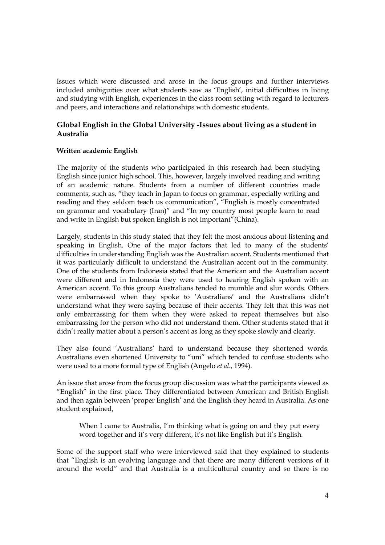Issues which were discussed and arose in the focus groups and further interviews included ambiguities over what students saw as 'English', initial difficulties in living and studying with English, experiences in the class room setting with regard to lecturers and peers, and interactions and relationships with domestic students.

## Global English in the Global University -Issues about living as a student in Australia

#### Written academic English

The majority of the students who participated in this research had been studying English since junior high school. This, however, largely involved reading and writing of an academic nature. Students from a number of different countries made comments, such as, "they teach in Japan to focus on grammar, especially writing and reading and they seldom teach us communication", "English is mostly concentrated on grammar and vocabulary (Iran)" and "In my country most people learn to read and write in English but spoken English is not important"(China).

Largely, students in this study stated that they felt the most anxious about listening and speaking in English. One of the major factors that led to many of the students' difficulties in understanding English was the Australian accent. Students mentioned that it was particularly difficult to understand the Australian accent out in the community. One of the students from Indonesia stated that the American and the Australian accent were different and in Indonesia they were used to hearing English spoken with an American accent. To this group Australians tended to mumble and slur words. Others were embarrassed when they spoke to 'Australians' and the Australians didn't understand what they were saying because of their accents. They felt that this was not only embarrassing for them when they were asked to repeat themselves but also embarrassing for the person who did not understand them. Other students stated that it didn't really matter about a person's accent as long as they spoke slowly and clearly.

They also found 'Australians' hard to understand because they shortened words. Australians even shortened University to "uni" which tended to confuse students who were used to a more formal type of English (Angelo et al., 1994).

An issue that arose from the focus group discussion was what the participants viewed as "English" in the first place. They differentiated between American and British English and then again between 'proper English' and the English they heard in Australia. As one student explained,

When I came to Australia, I'm thinking what is going on and they put every word together and it's very different, it's not like English but it's English.

Some of the support staff who were interviewed said that they explained to students that "English is an evolving language and that there are many different versions of it around the world" and that Australia is a multicultural country and so there is no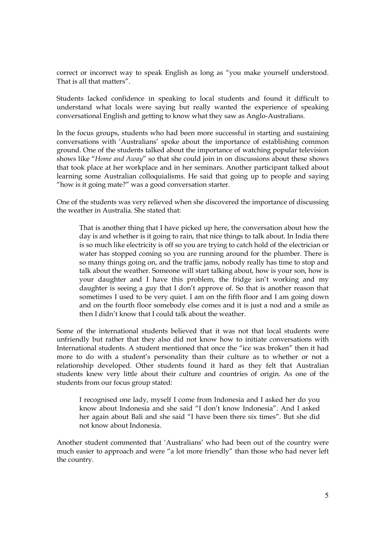correct or incorrect way to speak English as long as "you make yourself understood. That is all that matters".

Students lacked confidence in speaking to local students and found it difficult to understand what locals were saying but really wanted the experience of speaking conversational English and getting to know what they saw as Anglo-Australians.

In the focus groups, students who had been more successful in starting and sustaining conversations with 'Australians' spoke about the importance of establishing common ground. One of the students talked about the importance of watching popular television shows like "Home and Away" so that she could join in on discussions about these shows that took place at her workplace and in her seminars. Another participant talked about learning some Australian colloquialisms. He said that going up to people and saying "how is it going mate?" was a good conversation starter.

One of the students was very relieved when she discovered the importance of discussing the weather in Australia. She stated that:

That is another thing that I have picked up here, the conversation about how the day is and whether is it going to rain, that nice things to talk about. In India there is so much like electricity is off so you are trying to catch hold of the electrician or water has stopped coming so you are running around for the plumber. There is so many things going on, and the traffic jams, nobody really has time to stop and talk about the weather. Someone will start talking about, how is your son, how is your daughter and I have this problem, the fridge isn't working and my daughter is seeing a guy that I don't approve of. So that is another reason that sometimes I used to be very quiet. I am on the fifth floor and I am going down and on the fourth floor somebody else comes and it is just a nod and a smile as then I didn't know that I could talk about the weather.

Some of the international students believed that it was not that local students were unfriendly but rather that they also did not know how to initiate conversations with International students. A student mentioned that once the "ice was broken" then it had more to do with a student's personality than their culture as to whether or not a relationship developed. Other students found it hard as they felt that Australian students knew very little about their culture and countries of origin. As one of the students from our focus group stated:

I recognised one lady, myself I come from Indonesia and I asked her do you know about Indonesia and she said "I don't know Indonesia". And I asked her again about Bali and she said "I have been there six times". But she did not know about Indonesia.

Another student commented that 'Australians' who had been out of the country were much easier to approach and were "a lot more friendly" than those who had never left the country.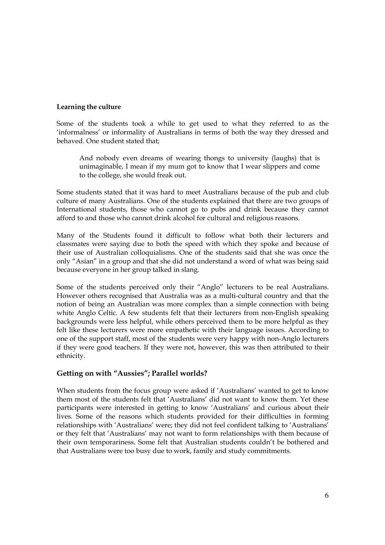#### Learning the culture

Some of the students took a while to get used to what they referred to as the 'informalness' or informality of Australians in terms of both the way they dressed and behaved. One student stated that;

And nobody even dreams of wearing thongs to university (laughs) that is unimaginable, I mean if my mum got to know that I wear slippers and come to the college, she would freak out.

Some students stated that it was hard to meet Australians because of the pub and club culture of many Australians. One of the students explained that there are two groups of International students, those who cannot go to pubs and drink because they cannot afford to and those who cannot drink alcohol for cultural and religious reasons.

Many of the Students found it difficult to follow what both their lecturers and classmates were saying due to both the speed with which they spoke and because of their use of Australian colloquialisms. One of the students said that she was once the only "Asian" in a group and that she did not understand a word of what was being said because everyone in her group talked in slang.

Some of the students perceived only their "Anglo" lecturers to be real Australians. However others recognised that Australia was as a multi-cultural country and that the notion of being an Australian was more complex than a simple connection with being white Anglo Celtic. A few students felt that their lecturers from non-English speaking backgrounds were less helpful, while others perceived them to be more helpful as they felt like these lecturers were more empathetic with their language issues. According to one of the support staff, most of the students were very happy with non-Anglo lecturers if they were good teachers. If they were not, however, this was then attributed to their ethnicity.

## Getting on with "Aussies"; Parallel worlds?

When students from the focus group were asked if 'Australians' wanted to get to know them most of the students felt that 'Australians' did not want to know them. Yet these participants were interested in getting to know 'Australians' and curious about their lives. Some of the reasons which students provided for their difficulties in forming relationships with 'Australians' were; they did not feel confident talking to 'Australians' or they felt that 'Australians' may not want to form relationships with them because of their own temporariness. Some felt that Australian students couldn't be bothered and that Australians were too busy due to work, family and study commitments.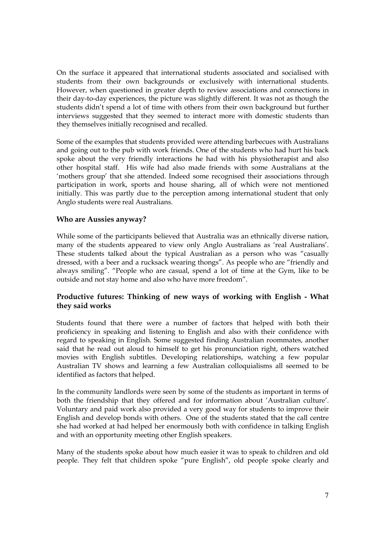On the surface it appeared that international students associated and socialised with students from their own backgrounds or exclusively with international students. However, when questioned in greater depth to review associations and connections in their day-to-day experiences, the picture was slightly different. It was not as though the students didn't spend a lot of time with others from their own background but further interviews suggested that they seemed to interact more with domestic students than they themselves initially recognised and recalled.

Some of the examples that students provided were attending barbecues with Australians and going out to the pub with work friends. One of the students who had hurt his back spoke about the very friendly interactions he had with his physiotherapist and also other hospital staff. His wife had also made friends with some Australians at the 'mothers group' that she attended. Indeed some recognised their associations through participation in work, sports and house sharing, all of which were not mentioned initially. This was partly due to the perception among international student that only Anglo students were real Australians.

#### Who are Aussies anyway?

While some of the participants believed that Australia was an ethnically diverse nation, many of the students appeared to view only Anglo Australians as 'real Australians'. These students talked about the typical Australian as a person who was "casually dressed, with a beer and a rucksack wearing thongs". As people who are "friendly and always smiling". "People who are casual, spend a lot of time at the Gym, like to be outside and not stay home and also who have more freedom".

## Productive futures: Thinking of new ways of working with English - What they said works

Students found that there were a number of factors that helped with both their proficiency in speaking and listening to English and also with their confidence with regard to speaking in English. Some suggested finding Australian roommates, another said that he read out aloud to himself to get his pronunciation right, others watched movies with English subtitles. Developing relationships, watching a few popular Australian TV shows and learning a few Australian colloquialisms all seemed to be identified as factors that helped.

In the community landlords were seen by some of the students as important in terms of both the friendship that they offered and for information about 'Australian culture'. Voluntary and paid work also provided a very good way for students to improve their English and develop bonds with others. One of the students stated that the call centre she had worked at had helped her enormously both with confidence in talking English and with an opportunity meeting other English speakers.

Many of the students spoke about how much easier it was to speak to children and old people. They felt that children spoke "pure English", old people spoke clearly and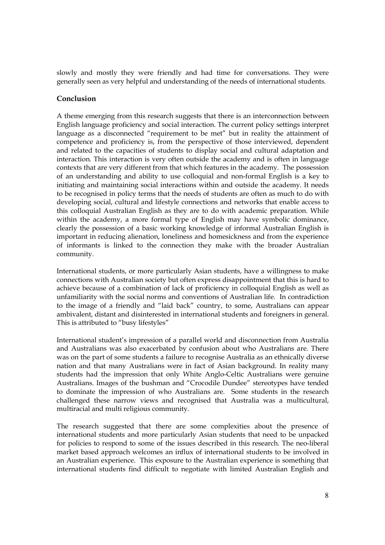slowly and mostly they were friendly and had time for conversations. They were generally seen as very helpful and understanding of the needs of international students.

## Conclusion

A theme emerging from this research suggests that there is an interconnection between English language proficiency and social interaction. The current policy settings interpret language as a disconnected "requirement to be met" but in reality the attainment of competence and proficiency is, from the perspective of those interviewed, dependent and related to the capacities of students to display social and cultural adaptation and interaction. This interaction is very often outside the academy and is often in language contexts that are very different from that which features in the academy. The possession of an understanding and ability to use colloquial and non-formal English is a key to initiating and maintaining social interactions within and outside the academy. It needs to be recognised in policy terms that the needs of students are often as much to do with developing social, cultural and lifestyle connections and networks that enable access to this colloquial Australian English as they are to do with academic preparation. While within the academy, a more formal type of English may have symbolic dominance, clearly the possession of a basic working knowledge of informal Australian English is important in reducing alienation, loneliness and homesickness and from the experience of informants is linked to the connection they make with the broader Australian community.

International students, or more particularly Asian students, have a willingness to make connections with Australian society but often express disappointment that this is hard to achieve because of a combination of lack of proficiency in colloquial English as well as unfamiliarity with the social norms and conventions of Australian life. In contradiction to the image of a friendly and "laid back" country, to some, Australians can appear ambivalent, distant and disinterested in international students and foreigners in general. This is attributed to "busy lifestyles"

International student's impression of a parallel world and disconnection from Australia and Australians was also exacerbated by confusion about who Australians are. There was on the part of some students a failure to recognise Australia as an ethnically diverse nation and that many Australians were in fact of Asian background. In reality many students had the impression that only White Anglo-Celtic Australians were genuine Australians. Images of the bushman and "Crocodile Dundee" stereotypes have tended to dominate the impression of who Australians are. Some students in the research challenged these narrow views and recognised that Australia was a multicultural, multiracial and multi religious community.

The research suggested that there are some complexities about the presence of international students and more particularly Asian students that need to be unpacked for policies to respond to some of the issues described in this research. The neo-liberal market based approach welcomes an influx of international students to be involved in an Australian experience. This exposure to the Australian experience is something that international students find difficult to negotiate with limited Australian English and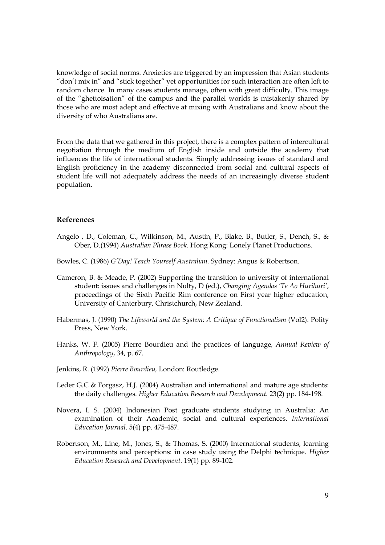knowledge of social norms. Anxieties are triggered by an impression that Asian students "don't mix in" and "stick together" yet opportunities for such interaction are often left to random chance. In many cases students manage, often with great difficulty. This image of the "ghettoisation" of the campus and the parallel worlds is mistakenly shared by those who are most adept and effective at mixing with Australians and know about the diversity of who Australians are.

From the data that we gathered in this project, there is a complex pattern of intercultural negotiation through the medium of English inside and outside the academy that influences the life of international students. Simply addressing issues of standard and English proficiency in the academy disconnected from social and cultural aspects of student life will not adequately address the needs of an increasingly diverse student population.

#### References

- Angelo , D., Coleman, C., Wilkinson, M., Austin, P., Blake, B., Butler, S., Dench, S., & Ober, D.(1994) Australian Phrase Book. Hong Kong: Lonely Planet Productions.
- Bowles, C. (1986) G'Day! Teach Yourself Australian. Sydney: Angus & Robertson.
- Cameron, B. & Meade, P. (2002) Supporting the transition to university of international student: issues and challenges in Nulty, D (ed.), Changing Agendas 'Te Ao Hurihuri', proceedings of the Sixth Pacific Rim conference on First year higher education, University of Canterbury, Christchurch, New Zealand.
- Habermas, J. (1990) The Lifeworld and the System: A Critique of Functionalism (Vol2). Polity Press, New York.
- Hanks, W. F. (2005) Pierre Bourdieu and the practices of language, Annual Review of Anthropology, 34, p. 67.
- Jenkins, R. (1992) Pierre Bourdieu, London: Routledge.
- Leder G.C & Forgasz, H.J. (2004) Australian and international and mature age students: the daily challenges. Higher Education Research and Development. 23(2) pp. 184-198.
- Novera, I. S. (2004) Indonesian Post graduate students studying in Australia: An examination of their Academic, social and cultural experiences. International Education Journal. 5(4) pp. 475-487.
- Robertson, M., Line, M., Jones, S., & Thomas, S. (2000) International students, learning environments and perceptions: in case study using the Delphi technique. Higher Education Research and Development. 19(1) pp. 89-102.